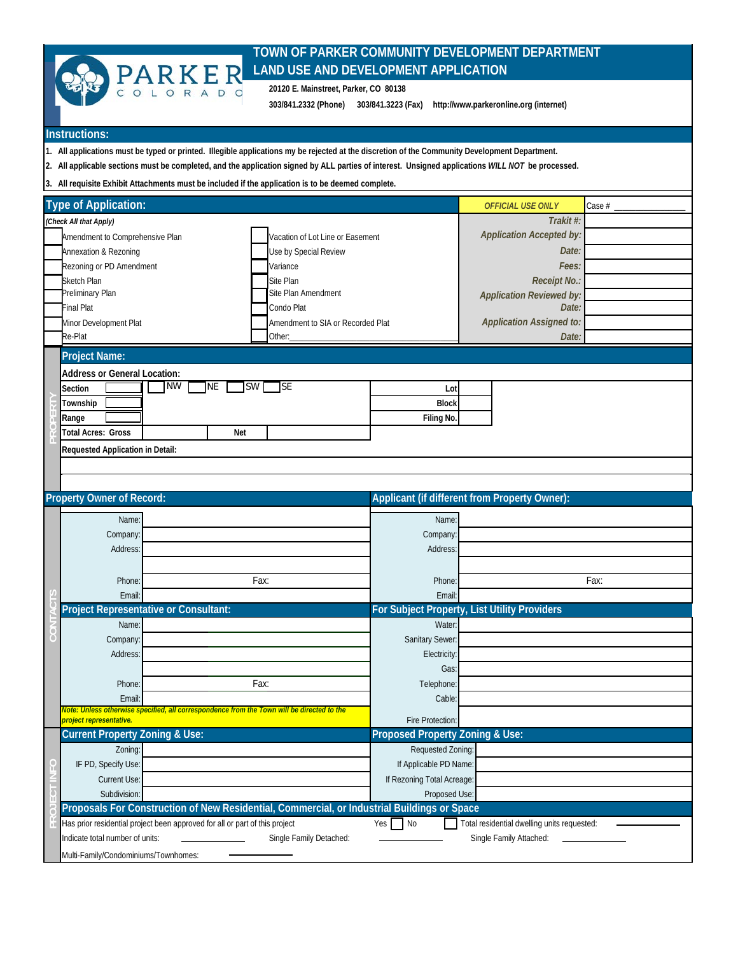

## **TOWN OF PARKER COMMUNITY DEVELOPMENT DEPARTMENT LAND USE AND DEVELOPMENT APPLICATION**

**20120 E. Mainstreet, Parker, CO 80138**

**303/841.2332 (Phone) 303/841.3223 (Fax) http://www.parkeronline.org (internet)**

## **Instructions:**

**1. All applications must be typed or printed. Illegible applications my be rejected at the discretion of the Community Development Department.**

**2. All applicable sections must be completed, and the application signed by ALL parties of interest. Unsigned applications** *WILL NOT* **be processed.**

**3. All requisite Exhibit Attachments must be included if the application is to be deemed complete.**

| <b>Type of Application:</b>                                                                                                                                      |                     |                        |                                   |                                 | <b>OFFICIAL USE ONLY</b>                      | Case $#_$ |  |  |  |
|------------------------------------------------------------------------------------------------------------------------------------------------------------------|---------------------|------------------------|-----------------------------------|---------------------------------|-----------------------------------------------|-----------|--|--|--|
| (Check All that Apply)                                                                                                                                           |                     | Trakit #:              |                                   |                                 |                                               |           |  |  |  |
| Amendment to Comprehensive Plan                                                                                                                                  |                     |                        | Vacation of Lot Line or Easement  |                                 | <b>Application Accepted by:</b>               |           |  |  |  |
| Annexation & Rezoning                                                                                                                                            |                     |                        | Use by Special Review             |                                 | Date:                                         |           |  |  |  |
| Rezoning or PD Amendment                                                                                                                                         |                     |                        | Variance                          |                                 | Fees:                                         |           |  |  |  |
| Sketch Plan                                                                                                                                                      |                     |                        |                                   |                                 | Receipt No.:                                  |           |  |  |  |
| Site Plan<br>Preliminary Plan                                                                                                                                    |                     |                        | Site Plan Amendment               |                                 | <b>Application Reviewed by:</b>               |           |  |  |  |
| <b>Final Plat</b>                                                                                                                                                | Condo Plat          |                        |                                   |                                 | Date:                                         |           |  |  |  |
| Minor Development Plat                                                                                                                                           |                     |                        | Amendment to SIA or Recorded Plat |                                 | <b>Application Assigned to:</b>               |           |  |  |  |
| Re-Plat                                                                                                                                                          |                     |                        | Other:                            |                                 | Date:                                         |           |  |  |  |
| <b>Project Name:</b>                                                                                                                                             |                     |                        |                                   |                                 |                                               |           |  |  |  |
| <b>Address or General Location:</b>                                                                                                                              |                     |                        |                                   |                                 |                                               |           |  |  |  |
| Section                                                                                                                                                          | <b>NW</b>           | <b>NE</b><br><b>SW</b> | lse                               | Lot                             |                                               |           |  |  |  |
| Township                                                                                                                                                         |                     |                        |                                   | <b>Block</b>                    |                                               |           |  |  |  |
|                                                                                                                                                                  |                     |                        | Filing No.                        |                                 |                                               |           |  |  |  |
| <b>Total Acres: Gross</b>                                                                                                                                        | Range<br><b>Net</b> |                        |                                   |                                 |                                               |           |  |  |  |
|                                                                                                                                                                  |                     |                        |                                   |                                 |                                               |           |  |  |  |
| Requested Application in Detail:                                                                                                                                 |                     |                        |                                   |                                 |                                               |           |  |  |  |
|                                                                                                                                                                  |                     |                        |                                   |                                 |                                               |           |  |  |  |
| <b>Property Owner of Record:</b>                                                                                                                                 |                     |                        |                                   |                                 | Applicant (if different from Property Owner): |           |  |  |  |
|                                                                                                                                                                  |                     |                        |                                   |                                 |                                               |           |  |  |  |
| Name:                                                                                                                                                            |                     |                        |                                   | Name:                           |                                               |           |  |  |  |
| Company:                                                                                                                                                         |                     |                        |                                   | Company:                        |                                               |           |  |  |  |
| Address:                                                                                                                                                         |                     |                        |                                   | Address:                        |                                               |           |  |  |  |
|                                                                                                                                                                  |                     |                        |                                   |                                 |                                               |           |  |  |  |
| Phone:                                                                                                                                                           |                     |                        | Fax:                              | Phone:                          |                                               | Fax:      |  |  |  |
| Email                                                                                                                                                            |                     |                        |                                   | Email:                          |                                               |           |  |  |  |
| <b>Project Representative or Consultant:</b>                                                                                                                     |                     |                        |                                   |                                 | For Subject Property, List Utility Providers  |           |  |  |  |
| Name:                                                                                                                                                            |                     |                        |                                   | Water:                          |                                               |           |  |  |  |
| Company:                                                                                                                                                         |                     |                        |                                   | Sanitary Sewer:                 |                                               |           |  |  |  |
| Address:                                                                                                                                                         |                     |                        |                                   | Electricity:                    |                                               |           |  |  |  |
|                                                                                                                                                                  |                     |                        |                                   | Gas                             |                                               |           |  |  |  |
| Phone:                                                                                                                                                           |                     |                        | Fax:                              | Telephone:                      |                                               |           |  |  |  |
| Email                                                                                                                                                            |                     |                        |                                   | Cable:                          |                                               |           |  |  |  |
| Note: Unless otherwise specified, all correspondence from the Town will be directed to the<br>project representative.                                            |                     |                        |                                   | Fire Protection:                |                                               |           |  |  |  |
| <b>Current Property Zoning &amp; Use:</b>                                                                                                                        |                     |                        |                                   | Proposed Property Zoning & Use: |                                               |           |  |  |  |
| Zoning:                                                                                                                                                          |                     |                        |                                   | Requested Zoning:               |                                               |           |  |  |  |
| IF PD, Specify Use:                                                                                                                                              |                     |                        |                                   | If Applicable PD Name:          |                                               |           |  |  |  |
| Current Use:                                                                                                                                                     |                     |                        |                                   | If Rezoning Total Acreage:      |                                               |           |  |  |  |
| Subdivision:                                                                                                                                                     |                     |                        |                                   | Proposed Use:                   |                                               |           |  |  |  |
| Proposals For Construction of New Residential, Commercial, or Industrial Buildings or Space                                                                      |                     |                        |                                   |                                 |                                               |           |  |  |  |
| Has prior residential project been approved for all or part of this project<br>N <sub>0</sub><br>Yes <sub>l</sub><br>Total residential dwelling units requested: |                     |                        |                                   |                                 |                                               |           |  |  |  |
| Indicate total number of units:                                                                                                                                  |                     |                        | Single Family Detached:           |                                 | Single Family Attached:                       |           |  |  |  |
| Multi-Family/Condominiums/Townhomes:                                                                                                                             |                     |                        |                                   |                                 |                                               |           |  |  |  |